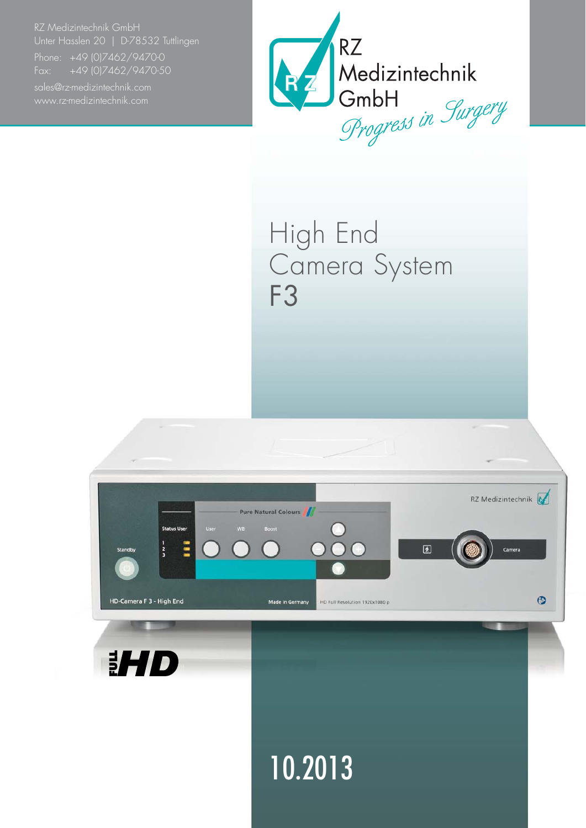RZ Medizintechnik GmbH Unter Hasslen 20 | D-78532 Tuttlingen

Fax: +49 (0)7462/9470-50



High End Camera System F3

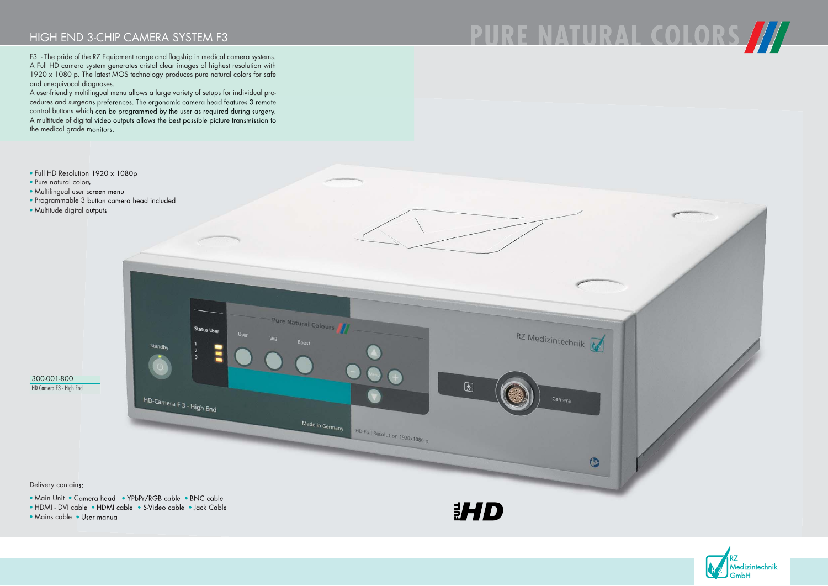Delivery contains:

- Main Unit Camera head YPbPr/RGB cable BNC cable
- HDMI DVI cable HDMI cable S-Video cable Jack Cable
- Mains cable User manual

**EHD** 





## HIGH END 3-CHIP CAMERA SYSTEM F3

F3 - The pride of the RZ Equipment range and flagship in medical camera systems. A Full HD camera system generates cristal clear images of highest resolution with 1920 x 1080 p. The latest MOS technology produces pure natural colors for safe and unequivocal diagnoses.

A user-friendly multilingual menu allows a large variety of setups for individual procedures and surgeons preferences. The ergonomic camera head features 3 remote control buttons which can be programmed by the user as required during surgery. A multitude of digital video outputs allows the best possible picture transmission to the medical grade monitors.

- Full HD Resolution 1920 x 1080p
- Pure natural colors
- Multilingual user screen menu
- Programmable 3 button camera head included
- Multitude digital outputs



300-001-800 HD Camera F3 - High End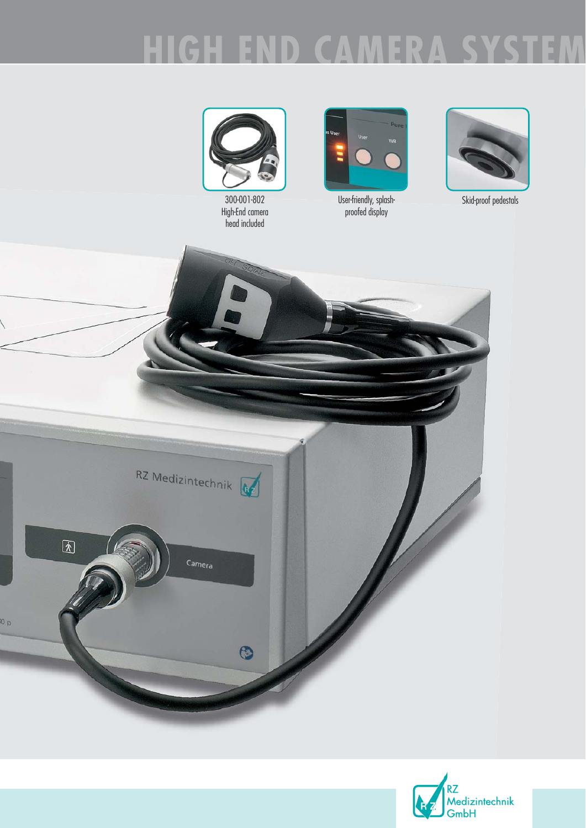### HIGH g. D  $\Box$ 83 ы



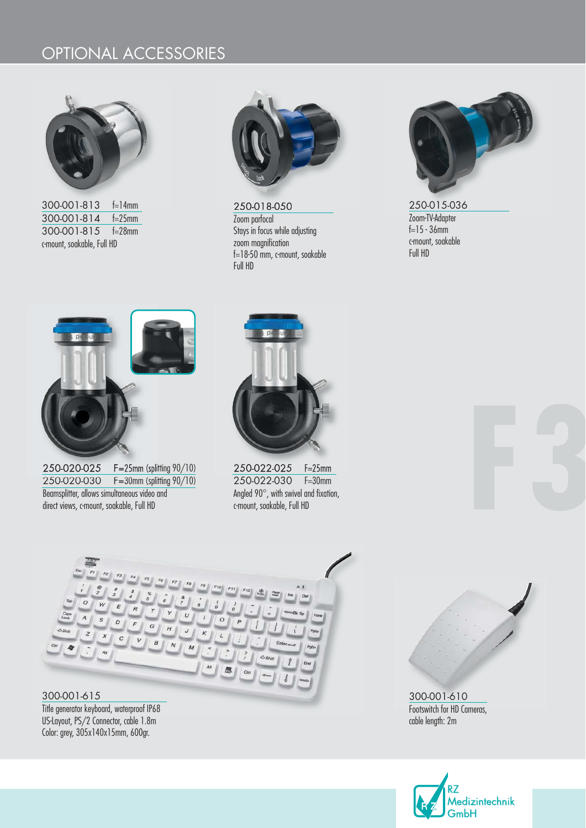### OPTIONAL ACCESSORIES



300-001-813 f=14mm 300-001-814 f=25mm 300-001-815 f=28mm c-mount, soakable, Full HD



250-018-050 Zoom parfocal Stays in focus while adjusting zoom magnification f=18-50 mm, c-mount, soakable Full HD



250-015-036 Zoom-TV-Adapter  $f=15 - 36$ mm c-mount, soakable Full HD



250-020-025 F=25mm (splitting 90/10) 250-020-030 F=30mm (splitting 90/10) Beamsplitter, allows simultaneous video and direct views, c-mount, soakable, Full HD



250-022-025 F=25mm 250-022-030 F=30mm Angled 90°, with swivel and fixation, c-mount, soakable, Full HD



300-001-615 Title generator keyboard, waterproof IP68 US-Layout, PS/2 Connector, cable 1.8m Color: grey, 305x140x15mm, 600gr.



300-001-610 Footswitch for HD Cameras, cable length: 2m